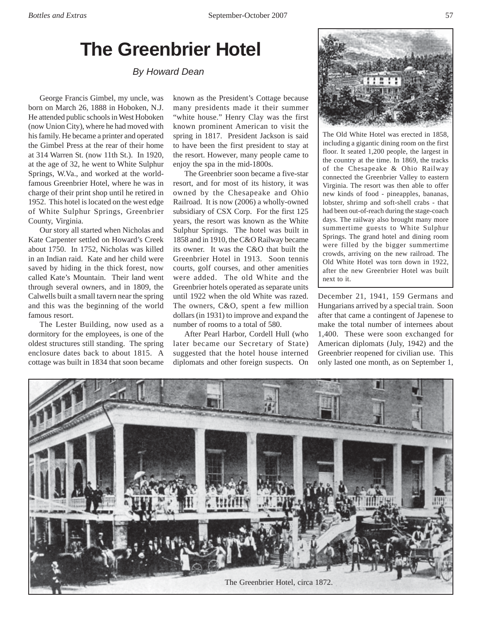## **The Greenbrier Hotel**

*By Howard Dean*

George Francis Gimbel, my uncle, was born on March 26, 1888 in Hoboken, N.J. He attended public schools in West Hoboken (now Union City), where he had moved with his family. He became a printer and operated the Gimbel Press at the rear of their home at 314 Warren St. (now 11th St.). In 1920, at the age of 32, he went to White Sulphur Springs, W.Va., and worked at the worldfamous Greenbrier Hotel, where he was in charge of their print shop until he retired in 1952. This hotel is located on the west edge of White Sulphur Springs, Greenbrier County, Virginia.

Our story all started when Nicholas and Kate Carpenter settled on Howard's Creek about 1750. In 1752, Nicholas was killed in an Indian raid. Kate and her child were saved by hiding in the thick forest, now called Kate's Mountain. Their land went through several owners, and in 1809, the Calwells built a small tavern near the spring and this was the beginning of the world famous resort.

The Lester Building, now used as a dormitory for the employees, is one of the oldest structures still standing. The spring enclosure dates back to about 1815. A cottage was built in 1834 that soon became

known as the President's Cottage because many presidents made it their summer "white house." Henry Clay was the first known prominent American to visit the spring in 1817. President Jackson is said to have been the first president to stay at the resort. However, many people came to enjoy the spa in the mid-1800s.

The Greenbrier soon became a five-star resort, and for most of its history, it was owned by the Chesapeake and Ohio Railroad. It is now (2006) a wholly-owned subsidiary of CSX Corp. For the first 125 years, the resort was known as the White Sulphur Springs. The hotel was built in 1858 and in 1910, the C&O Railway became its owner. It was the C&O that built the Greenbrier Hotel in 1913. Soon tennis courts, golf courses, and other amenities were added. The old White and the Greenbrier hotels operated as separate units until 1922 when the old White was razed. The owners, C&O, spent a few million dollars (in 1931) to improve and expand the number of rooms to a total of 580.

After Pearl Harbor, Cordell Hull (who later became our Secretary of State) suggested that the hotel house interned diplomats and other foreign suspects. On



The Old White Hotel was erected in 1858, including a gigantic dining room on the first floor. It seated 1,200 people, the largest in the country at the time. In 1869, the tracks of the Chesapeake & Ohio Railway connected the Greenbrier Valley to eastern Virginia. The resort was then able to offer new kinds of food - pineapples, bananas, lobster, shrimp and soft-shell crabs - that had been out-of-reach during the stage-coach days. The railway also brought many more summertime guests to White Sulphur Springs. The grand hotel and dining room were filled by the bigger summertime crowds, arriving on the new railroad. The Old White Hotel was torn down in 1922, after the new Greenbrier Hotel was built next to it.

December 21, 1941, 159 Germans and Hungarians arrived by a special train. Soon after that came a contingent of Japenese to make the total number of internees about 1,400. These were soon exchanged for American diplomats (July, 1942) and the Greenbrier reopened for civilian use. This only lasted one month, as on September 1,

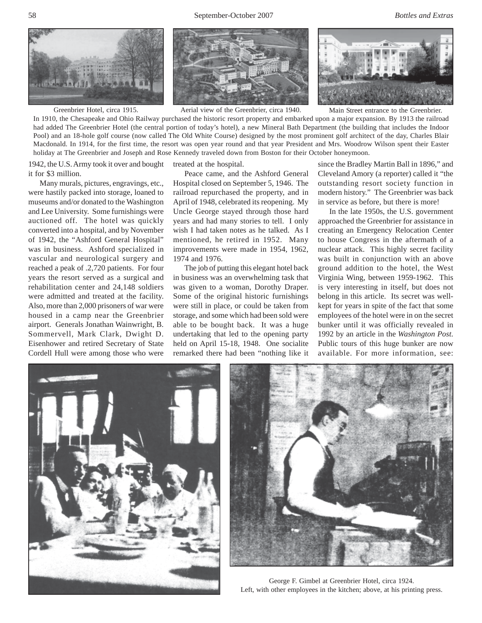



Greenbrier Hotel, circa 1915. Aerial view of the Greenbrier, circa 1940.



Main Street entrance to the Greenbrier.

In 1910, the Chesapeake and Ohio Railway purchased the historic resort property and embarked upon a major expansion. By 1913 the railroad had added The Greenbrier Hotel (the central portion of today's hotel), a new Mineral Bath Department (the building that includes the Indoor Pool) and an 18-hole golf course (now called The Old White Course) designed by the most prominent golf architect of the day, Charles Blair Macdonald. In 1914, for the first time, the resort was open year round and that year President and Mrs. Woodrow Wilson spent their Easter holiday at The Greenbrier and Joseph and Rose Kennedy traveled down from Boston for their October honeymoon.

1942, the U.S. Army took it over and bought it for \$3 million.

Many murals, pictures, engravings, etc., were hastily packed into storage, loaned to museums and/or donated to the Washington and Lee University. Some furnishings were auctioned off. The hotel was quickly converted into a hospital, and by November of 1942, the "Ashford General Hospital" was in business. Ashford specialized in vascular and neurological surgery and reached a peak of .2,720 patients. For four years the resort served as a surgical and rehabilitation center and 24,148 soldiers were admitted and treated at the facility. Also, more than 2,000 prisoners of war were housed in a camp near the Greenbrier airport. Generals Jonathan Wainwright, B. Sommervell, Mark Clark, Dwight D. Eisenhower and retired Secretary of State Cordell Hull were among those who were

treated at the hospital.

Peace came, and the Ashford General Hospital closed on September 5, 1946. The railroad repurchased the property, and in April of 1948, celebrated its reopening. My Uncle George stayed through those hard years and had many stories to tell. I only wish I had taken notes as he talked. As I mentioned, he retired in 1952. Many improvements were made in 1954, 1962, 1974 and 1976.

The job of putting this elegant hotel back in business was an overwhelming task that was given to a woman, Dorothy Draper. Some of the original historic furnishings were still in place, or could be taken from storage, and some which had been sold were able to be bought back. It was a huge undertaking that led to the opening party held on April 15-18, 1948. One socialite remarked there had been "nothing like it

since the Bradley Martin Ball in 1896," and Cleveland Amory (a reporter) called it "the outstanding resort society function in modern history." The Greenbrier was back in service as before, but there is more!

In the late 1950s, the U.S. government approached the Greenbrier for assistance in creating an Emergency Relocation Center to house Congress in the aftermath of a nuclear attack. This highly secret facility was built in conjunction with an above ground addition to the hotel, the West Virginia Wing, between 1959-1962. This is very interesting in itself, but does not belong in this article. Its secret was wellkept for years in spite of the fact that some employees of the hotel were in on the secret bunker until it was officially revealed in 1992 by an article in the *Washington Post*. Public tours of this huge bunker are now available. For more information, see:





George F. Gimbel at Greenbrier Hotel, circa 1924. Left, with other employees in the kitchen; above, at his printing press.